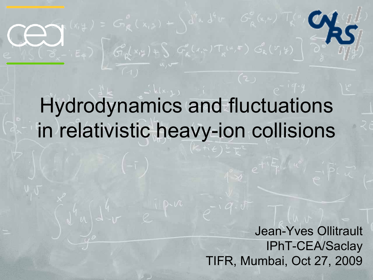# Hydrodynamics and fluctuations in relativistic heavy-ion collisions

 $G_{\rho}(x,y)+\int G_{\rho}^{\rho}(x,y)T_{\kappa}^{\mu}(\mu,\mathbf{r})G_{\kappa}^{\rho}(\nu,y)$ 

Jean-Yves Ollitrault IPhT-CEA/Saclay TIFR, Mumbai, Oct 27, 2009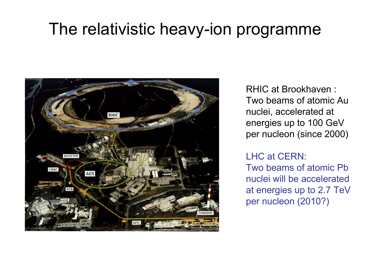#### The relativistic heavy-ion programme



RHIC at Brookhaven : Two beams of atomic Au nuclei, accelerated at energies up to 100 GeV per nucleon (since 2000)

#### LHC at CERN:

Two beams of atomic Pb nuclei will be accelerated at energies up to 2.7 TeV per nucleon (2010?)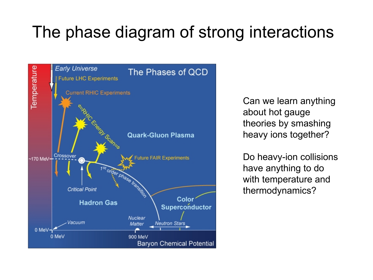## The phase diagram of strong interactions



Can we learn anything about hot gauge theories by smashing heavy ions together?

Do heavy-ion collisions have anything to do with temperature and thermodynamics?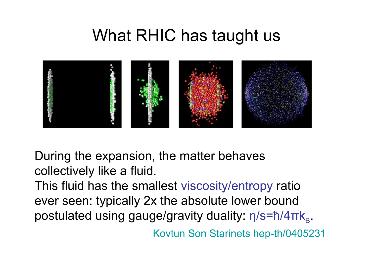#### What RHIC has taught us



During the expansion, the matter behaves collectively like a fluid.

This fluid has the smallest viscosity/entropy ratio ever seen: typically 2x the absolute lower bound postulated using gauge/gravity duality: η/s=ħ/4πk<sub>B</sub>.

Kovtun Son Starinets hep-th/0405231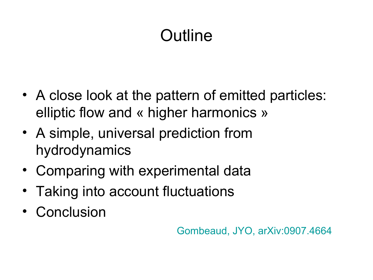## Outline

- A close look at the pattern of emitted particles: elliptic flow and « higher harmonics »
- A simple, universal prediction from hydrodynamics
- Comparing with experimental data
- Taking into account fluctuations
- Conclusion

Gombeaud, JYO, arXiv:0907.4664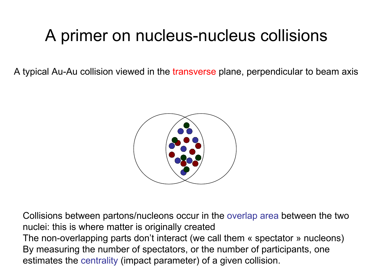## A primer on nucleus-nucleus collisions

A typical Au-Au collision viewed in the transverse plane, perpendicular to beam axis



Collisions between partons/nucleons occur in the overlap area between the two nuclei: this is where matter is originally created The non-overlapping parts don't interact (we call them « spectator » nucleons) By measuring the number of spectators, or the number of participants, one estimates the centrality (impact parameter) of a given collision.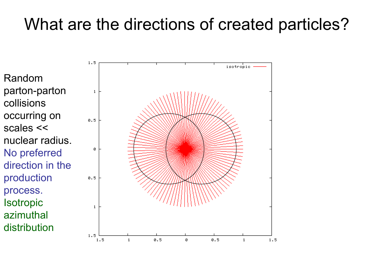## What are the directions of created particles?

Random parton-parton collisions occurring on scales << nuclear radius. No preferred direction in the production process. **Isotropic** azimuthal distribution

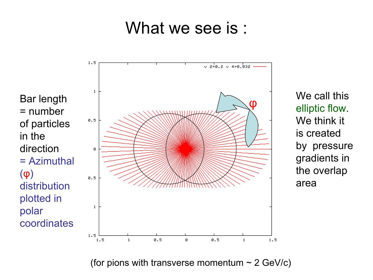#### What we see is:

Bar length = number of particles in the direction = Azimuthal (φ) distribution plotted in polar coordinates



We call this elliptic flow. We think it is created by pressure gradients in the overlap area

(for pions with transverse momentum  $\sim$  2 GeV/c)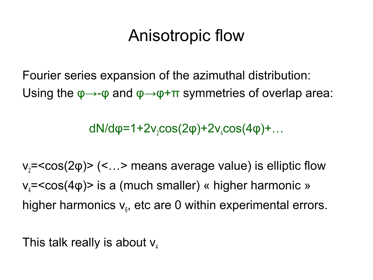## Anisotropic flow

Fourier series expansion of the azimuthal distribution: Using the  $\varphi \rightarrow -\varphi$  and  $\varphi \rightarrow \varphi + \pi$  symmetries of overlap area:

dN/d $\varphi$ =1+2v<sub>2</sub>cos(2 $\varphi$ )+2v<sub>4</sub>cos(4 $\varphi$ )+...

 $v<sub>2</sub>=<$ cos(2 $\varphi$ )> (<...> means average value) is elliptic flow  $v_4$ =<cos(4 $\varphi$ )> is a (much smaller) « higher harmonic » higher harmonics  $v_{\scriptscriptstyle{\theta}}$ , etc are 0 within experimental errors.

This talk really is about  $v_4$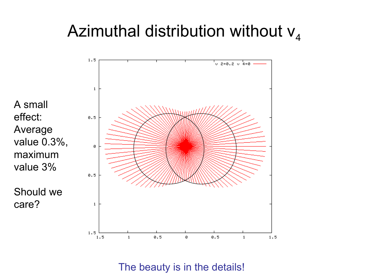## Azimuthal distribution without  $v_4$



The beauty is in the details!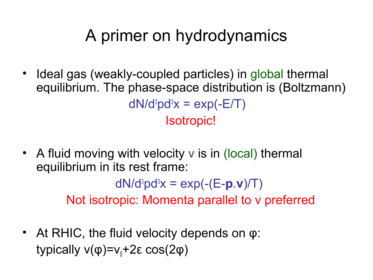## A primer on hydrodynamics

- Ideal gas (weakly-coupled particles) in global thermal equilibrium. The phase-space distribution is (Boltzmann)  $dN/d^{3}p d^{3}x = exp(-E/T)$ Isotropic!
- A fluid moving with velocity v is in (local) thermal equilibrium in its rest frame:

 $dN/d^{3}pd^{3}x = exp(-(E-p.v)/T)$ Not isotropic: Momenta parallel to v preferred

• At RHIC, the fluid velocity depends on φ: typically  $v(\phi)=v_0+2\epsilon \cos(2\phi)$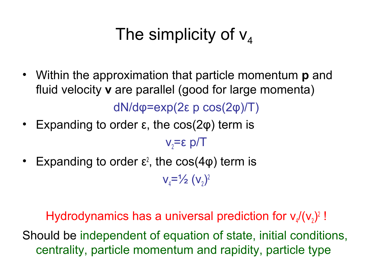## The simplicity of  $V_A$

- Within the approximation that particle momentum **p** and fluid velocity **v** are parallel (good for large momenta) dN/dφ=exp(2ε p cos(2φ)/T)
- Expanding to order  $\varepsilon$ , the cos( $2\varphi$ ) term is

 $v_2 = \epsilon$  p/T

• Expanding to order  $\varepsilon^2$ , the cos(4 $\varphi$ ) term is

 $V_4 = \frac{1}{2} (V_2)^2$ 

Hydrodynamics has a universal prediction for  $v_4/(v_2)^2$ ! Should be independent of equation of state, initial conditions, centrality, particle momentum and rapidity, particle type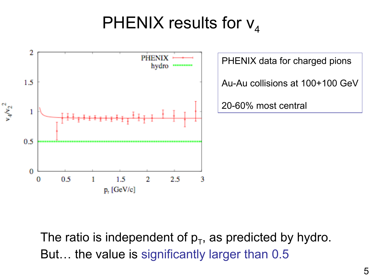## PHENIX results for  $V_4$



The ratio is independent of  $p_T$ , as predicted by hydro. But… the value is significantly larger than 0.5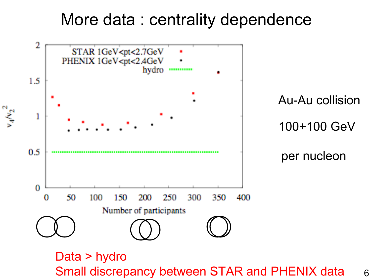#### More data : centrality dependence



Small discrepancy between STAR and PHENIX data 6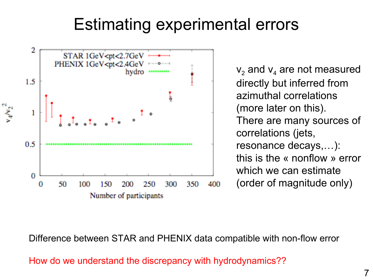## Estimating experimental errors



 $\mathsf{v}_{\mathsf{2}}$  and  $\mathsf{v}_{\mathsf{4}}$  are not measured directly but inferred from azimuthal correlations (more later on this). There are many sources of correlations (jets, resonance decays,…): this is the « nonflow » error which we can estimate (order of magnitude only)

Difference between STAR and PHENIX data compatible with non-flow error

How do we understand the discrepancy with hydrodynamics??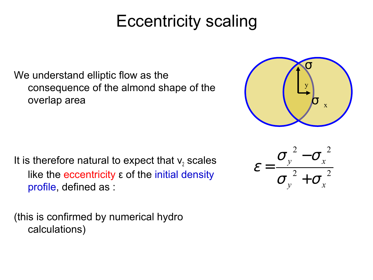## Eccentricity scaling

We understand elliptic flow as the consequence of the almond shape of the overlap area

It is therefore natural to expect that  $v_2$  scales like the eccentricity ε of the initial density profile, defined as :

(this is confirmed by numerical hydro calculations)



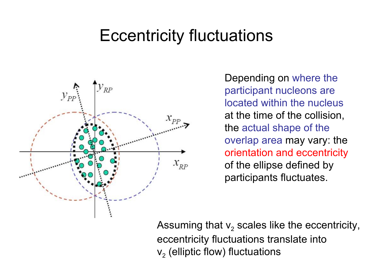### Eccentricity fluctuations



Depending on where the participant nucleons are located within the nucleus at the time of the collision, the actual shape of the overlap area may vary: the orientation and eccentricity of the ellipse defined by participants fluctuates.

Assuming that  $\mathsf{v}_{\mathsf{2}}$  scales like the eccentricity, eccentricity fluctuations translate into  $\mathsf{v}_{\mathsf{2}}$  (elliptic flow) fluctuations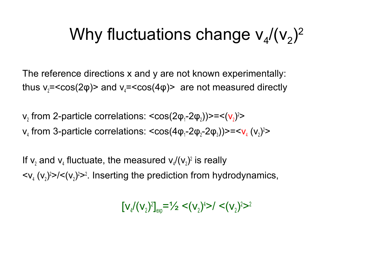## Why fluctuations change  $v_4/(v_2)^2$

The reference directions x and y are not known experimentally: thus  $v_2 = \cos(2\varphi)$  and  $v_4 = \cos(4\varphi)$  are not measured directly

 $\mathsf{v}_2$  from 2-particle correlations: <cos(2φ<sub>1</sub>-2φ<sub>2</sub>))>=<( $\mathsf{v}_2$ )<sup>2</sup>>  $v_4$  from 3-particle correlations:  $\langle cos(4\varphi_1-2\varphi_2-2\varphi_3)\rangle=\langle v_4(v_2)^2\rangle$ 

If  $v_2$  and  $v_4$  fluctuate, the measured  $v_4/(v_2)^2$  is really  $\langle v_4 \rangle$  ( $v_2$ )<sup>2</sup> $\rangle$ / $\langle v_2 \rangle$ <sup>2</sup> $\rangle$ <sup>2</sup>. Inserting the prediction from hydrodynamics,

 $[v_4/(v_2)^2]_{exp} = \frac{1}{2} < (v_2)^4 > / < (v_2)^2 >^2$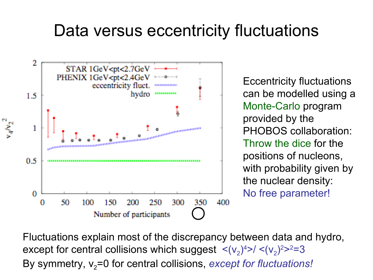### Data versus eccentricity fluctuations



Eccentricity fluctuations can be modelled using a Monte-Carlo program provided by the PHOBOS collaboration: Throw the dice for the positions of nucleons, with probability given by the nuclear density: No free parameter!

Fluctuations explain most of the discrepancy between data and hydro, except for central collisions which suggest  $\langle (v_2)^4 \rangle / \langle (v_2)^2 \rangle^2 = 3$ By symmetry,  $v_2$ =0 for central collisions, *except for fluctuations!*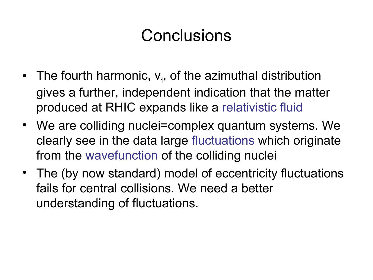## **Conclusions**

- The fourth harmonic,  $V_4$ , of the azimuthal distribution gives a further, independent indication that the matter produced at RHIC expands like a relativistic fluid
- We are colliding nuclei=complex quantum systems. We clearly see in the data large fluctuations which originate from the wavefunction of the colliding nuclei
- The (by now standard) model of eccentricity fluctuations fails for central collisions. We need a better understanding of fluctuations.